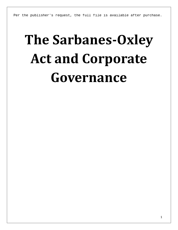Per the publisher's request, the full file is available after purchase.

# **The Sarbanes-Oxley Act and Corporate Governance**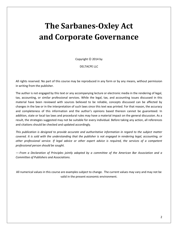## **The Sarbanes-Oxley Act and Corporate Governance**

Copyright  $©$  2014 by

DELTACPE LLC

All rights reserved. No part of this course may be reproduced in any form or by any means, without permission in writing from the publisher.

The author is not engaged by this text or any accompanying lecture or electronic media in the rendering of legal, tax, accounting, or similar professional services. While the legal, tax, and accounting issues discussed in this material have been reviewed with sources believed to be reliable, concepts discussed can be affected by changes in the law or in the interpretation of such laws since this text was printed. For that reason, the accuracy and completeness of this information and the author's opinions based thereon cannot be guaranteed. In addition, state or local tax laws and procedural rules may have a material impact on the general discussion. As a result, the strategies suggested may not be suitable for every individual. Before taking any action, all references and citations should be checked and updated accordingly.

*This publication is designed to provide accurate and authoritative information in regard to the subject matter covered. It is sold with the understanding that the publisher is not engaged in rendering legal, accounting, or other professional service. If legal advice or other expert advice is required, the services of a competent professional person should be sought.*

*—-From a Declaration of Principles jointly adopted by a committee of the American Bar Association and a Committee of Publishers and Associations.*

All numerical values in this course are examples subject to change. The current values may vary and may not be valid in the present economic environment.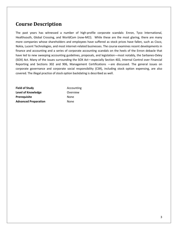#### **Course Description**

The past years has witnessed a number of high-profile corporate scandals: Enron, Tyco International, Healthsouth, Global Crossing, and WorldCom (now-MCI). While these are the most glaring, there are many more companies whose shareholders and employees have suffered as stock prices have fallen, such as Cisco, Nokia, Lucent Technologies, and most internet-related businesses. The course examines recent developments in finance and accounting and a series of corporate accounting scandals on the heels of the Enron debacle that have led to new sweeping accounting guidelines, proposals, and legislation—most notably, the Sarbanes-Oxley (SOX) Act. Many of the issues surrounding the SOX Act—especially Section 402, Internal Control over Financial Reporting and Sections 302 and 906, Management Certifications —are discussed. The general issues on corporate governance and corporate social responsibility (CSR), including stock option expensing, are also covered. The illegal practice of stock option backdating is described as well.

| <b>Field of Study</b>       | Accou |
|-----------------------------|-------|
| Level of Knowledge          | Overy |
| <b>Prerequisite</b>         | None  |
| <b>Advanced Preparation</b> | None  |

**Field of Study** Accounting **Overview**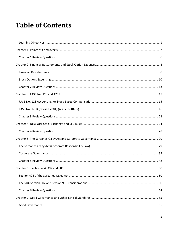### **Table of Contents**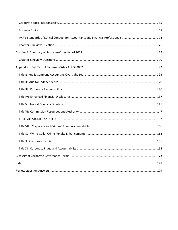| 173 |
|-----|
|     |
|     |